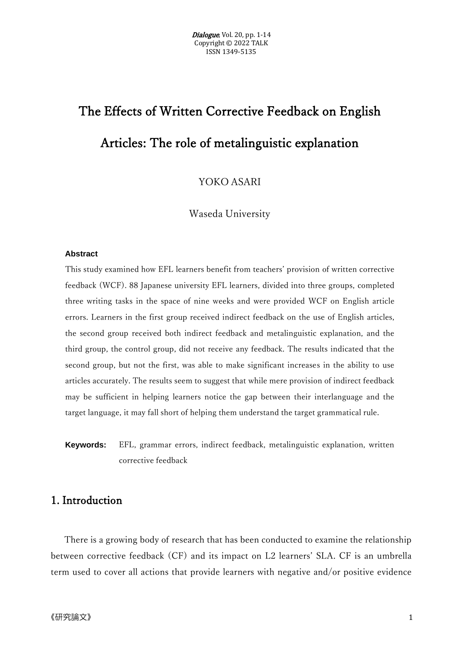# The Effects of Written Corrective Feedback on English Articles: The role of metalinguistic explanation

YOKO ASARI

Waseda University

#### **Abstract**

This study examined how EFL learners benefit from teachers' provision of written corrective feedback (WCF). 88 Japanese university EFL learners, divided into three groups, completed three writing tasks in the space of nine weeks and were provided WCF on English article errors. Learners in the first group received indirect feedback on the use of English articles, the second group received both indirect feedback and metalinguistic explanation, and the third group, the control group, did not receive any feedback. The results indicated that the second group, but not the first, was able to make significant increases in the ability to use articles accurately. The results seem to suggest that while mere provision of indirect feedback may be sufficient in helping learners notice the gap between their interlanguage and the target language, it may fall short of helping them understand the target grammatical rule.

**Keywords:** EFL, grammar errors, indirect feedback, metalinguistic explanation, written corrective feedback

# 1. Introduction

There is a growing body of research that has been conducted to examine the relationship between corrective feedback (CF) and its impact on L2 learners' SLA. CF is an umbrella term used to cover all actions that provide learners with negative and/or positive evidence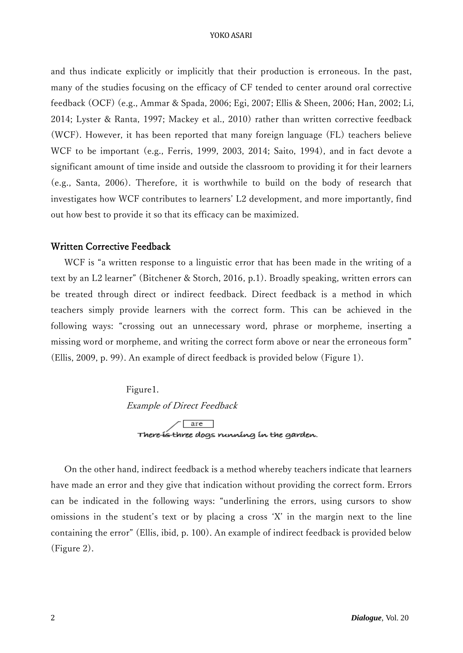#### YOKO ASARI

and thus indicate explicitly or implicitly that their production is erroneous. In the past, many of the studies focusing on the efficacy of CF tended to center around oral corrective feedback (OCF) (e.g., Ammar & Spada, 2006; Egi, 2007; Ellis & Sheen, 2006; Han, 2002; Li, 2014; Lyster & Ranta, 1997; Mackey et al., 2010) rather than written corrective feedback (WCF). However, it has been reported that many foreign language (FL) teachers believe WCF to be important (e.g., Ferris, 1999, 2003, 2014; Saito, 1994), and in fact devote a significant amount of time inside and outside the classroom to providing it for their learners (e.g., Santa, 2006). Therefore, it is worthwhile to build on the body of research that investigates how WCF contributes to learners' L2 development, and more importantly, find out how best to provide it so that its efficacy can be maximized.

#### Written Corrective Feedback

WCF is "a written response to a linguistic error that has been made in the writing of a text by an L2 learner" (Bitchener & Storch, 2016, p.1). Broadly speaking, written errors can be treated through direct or indirect feedback. Direct feedback is a method in which teachers simply provide learners with the correct form. This can be achieved in the following ways: "crossing out an unnecessary word, phrase or morpheme, inserting a missing word or morpheme, and writing the correct form above or near the erroneous form" (Ellis, 2009, p. 99). An example of direct feedback is provided below (Figure 1).

> Figure1. Example of Direct Feedback There is three dogs running in the garden.

On the other hand, indirect feedback is a method whereby teachers indicate that learners have made an error and they give that indication without providing the correct form. Errors can be indicated in the following ways: "underlining the errors, using cursors to show omissions in the student's text or by placing a cross 'X' in the margin next to the line containing the error" (Ellis, ibid, p. 100). An example of indirect feedback is provided below (Figure 2).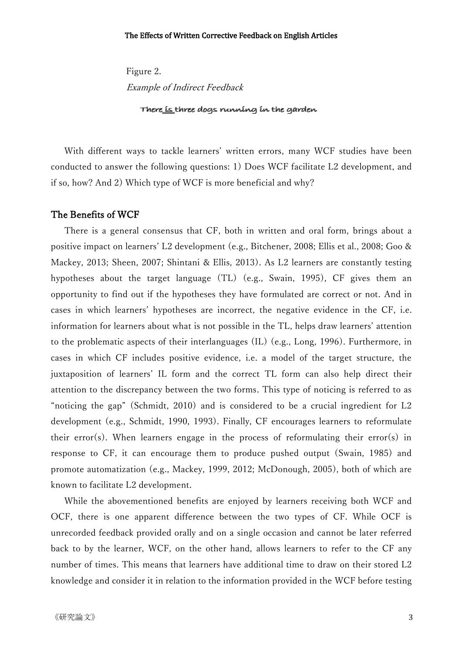Figure 2. Example of Indirect Feedback There is three dogs nunning in the garden

With different ways to tackle learners' written errors, many WCF studies have been conducted to answer the following questions: 1) Does WCF facilitate L2 development, and if so, how? And 2) Which type of WCF is more beneficial and why?

## The Benefits of WCF

There is a general consensus that CF, both in written and oral form, brings about a positive impact on learners' L2 development (e.g., Bitchener, 2008; Ellis et al., 2008; Goo & Mackey, 2013; Sheen, 2007; Shintani & Ellis, 2013). As L2 learners are constantly testing hypotheses about the target language (TL) (e.g., Swain, 1995), CF gives them an opportunity to find out if the hypotheses they have formulated are correct or not. And in cases in which learners' hypotheses are incorrect, the negative evidence in the CF, i.e. information for learners about what is not possible in the TL, helps draw learners' attention to the problematic aspects of their interlanguages (IL) (e.g., Long, 1996). Furthermore, in cases in which CF includes positive evidence, i.e. a model of the target structure, the juxtaposition of learners' IL form and the correct TL form can also help direct their attention to the discrepancy between the two forms. This type of noticing is referred to as "noticing the gap" (Schmidt, 2010) and is considered to be a crucial ingredient for L2 development (e.g., Schmidt, 1990, 1993). Finally, CF encourages learners to reformulate their error(s). When learners engage in the process of reformulating their error(s) in response to CF, it can encourage them to produce pushed output (Swain, 1985) and promote automatization (e.g., Mackey, 1999, 2012; McDonough, 2005), both of which are known to facilitate L2 development.

While the abovementioned benefits are enjoyed by learners receiving both WCF and OCF, there is one apparent difference between the two types of CF. While OCF is unrecorded feedback provided orally and on a single occasion and cannot be later referred back to by the learner, WCF, on the other hand, allows learners to refer to the CF any number of times. This means that learners have additional time to draw on their stored L2 knowledge and consider it in relation to the information provided in the WCF before testing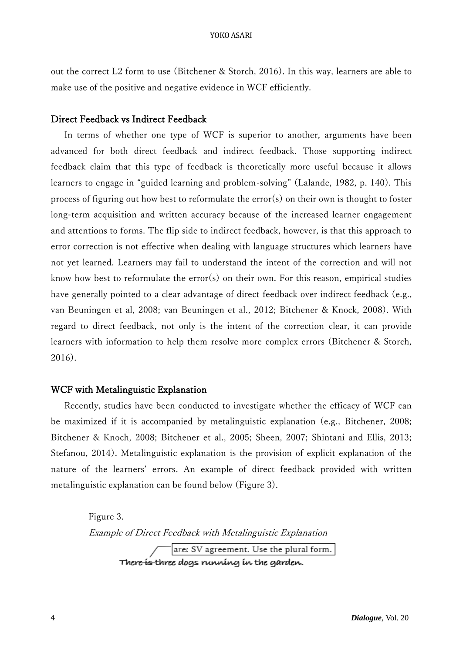out the correct L2 form to use (Bitchener & Storch, 2016). In this way, learners are able to make use of the positive and negative evidence in WCF efficiently.

## Direct Feedback vs Indirect Feedback

In terms of whether one type of WCF is superior to another, arguments have been advanced for both direct feedback and indirect feedback. Those supporting indirect feedback claim that this type of feedback is theoretically more useful because it allows learners to engage in "guided learning and problem-solving" (Lalande, 1982, p. 140). This process of figuring out how best to reformulate the error(s) on their own is thought to foster long-term acquisition and written accuracy because of the increased learner engagement and attentions to forms. The flip side to indirect feedback, however, is that this approach to error correction is not effective when dealing with language structures which learners have not yet learned. Learners may fail to understand the intent of the correction and will not know how best to reformulate the error(s) on their own. For this reason, empirical studies have generally pointed to a clear advantage of direct feedback over indirect feedback (e.g., van Beuningen et al, 2008; van Beuningen et al., 2012; Bitchener & Knock, 2008). With regard to direct feedback, not only is the intent of the correction clear, it can provide learners with information to help them resolve more complex errors (Bitchener & Storch, 2016).

#### WCF with Metalinguistic Explanation

Recently, studies have been conducted to investigate whether the efficacy of WCF can be maximized if it is accompanied by metalinguistic explanation (e.g., Bitchener, 2008; Bitchener & Knoch, 2008; Bitchener et al., 2005; Sheen, 2007; Shintani and Ellis, 2013; Stefanou, 2014). Metalinguistic explanation is the provision of explicit explanation of the nature of the learners' errors. An example of direct feedback provided with written metalinguistic explanation can be found below (Figure 3).

> Figure 3. Example of Direct Feedback with Metalinguistic Explanationare: SV agreement. Use the plural form. There is three dogs running in the garden.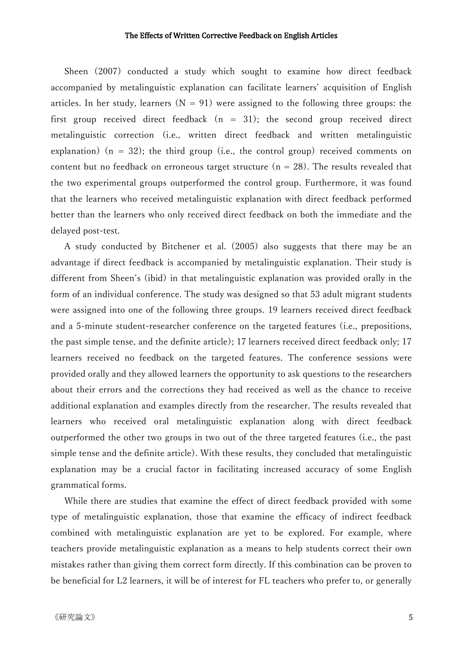#### The Effects of Written Corrective Feedback on English Articles

Sheen (2007) conducted a study which sought to examine how direct feedback accompanied by metalinguistic explanation can facilitate learners' acquisition of English articles. In her study, learners  $(N = 91)$  were assigned to the following three groups: the first group received direct feedback  $(n = 31)$ ; the second group received direct metalinguistic correction (i.e., written direct feedback and written metalinguistic explanation)  $(n = 32)$ ; the third group (i.e., the control group) received comments on content but no feedback on erroneous target structure ( $n = 28$ ). The results revealed that the two experimental groups outperformed the control group. Furthermore, it was found that the learners who received metalinguistic explanation with direct feedback performed better than the learners who only received direct feedback on both the immediate and the delayed post-test.

A study conducted by Bitchener et al. (2005) also suggests that there may be an advantage if direct feedback is accompanied by metalinguistic explanation. Their study is different from Sheen's (ibid) in that metalinguistic explanation was provided orally in the form of an individual conference. The study was designed so that 53 adult migrant students were assigned into one of the following three groups. 19 learners received direct feedback and a 5-minute student-researcher conference on the targeted features (i.e., prepositions, the past simple tense, and the definite article); 17 learners received direct feedback only; 17 learners received no feedback on the targeted features. The conference sessions were provided orally and they allowed learners the opportunity to ask questions to the researchers about their errors and the corrections they had received as well as the chance to receive additional explanation and examples directly from the researcher. The results revealed that learners who received oral metalinguistic explanation along with direct feedback outperformed the other two groups in two out of the three targeted features (i.e., the past simple tense and the definite article). With these results, they concluded that metalinguistic explanation may be a crucial factor in facilitating increased accuracy of some English grammatical forms.

While there are studies that examine the effect of direct feedback provided with some type of metalinguistic explanation, those that examine the efficacy of indirect feedback combined with metalinguistic explanation are yet to be explored. For example, where teachers provide metalinguistic explanation as a means to help students correct their own mistakes rather than giving them correct form directly. If this combination can be proven to be beneficial for L2 learners, it will be of interest for FL teachers who prefer to, or generally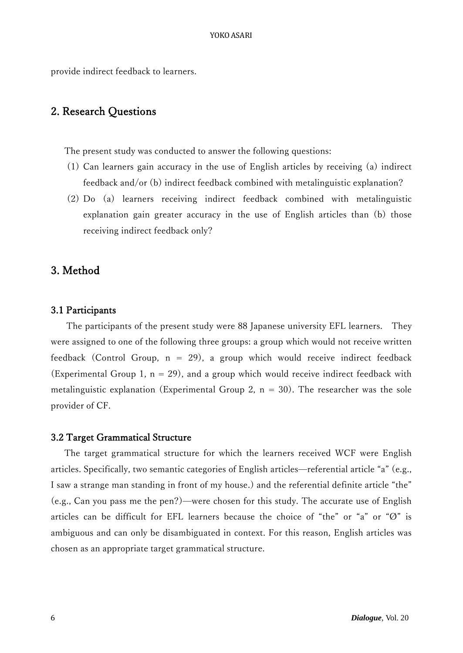provide indirect feedback to learners.

# 2. Research Questions

The present study was conducted to answer the following questions:

- (1) Can learners gain accuracy in the use of English articles by receiving (a) indirect feedback and/or (b) indirect feedback combined with metalinguistic explanation?
- (2) Do (a) learners receiving indirect feedback combined with metalinguistic explanation gain greater accuracy in the use of English articles than (b) those receiving indirect feedback only?

## 3. Method

#### 3.1 Participants

 The participants of the present study were 88 Japanese university EFL learners. They were assigned to one of the following three groups: a group which would not receive written feedback (Control Group,  $n = 29$ ), a group which would receive indirect feedback (Experimental Group 1,  $n = 29$ ), and a group which would receive indirect feedback with metalinguistic explanation (Experimental Group 2,  $n = 30$ ). The researcher was the sole provider of CF.

### 3.2 Target Grammatical Structure

The target grammatical structure for which the learners received WCF were English articles. Specifically, two semantic categories of English articles—referential article "a" (e.g., I saw a strange man standing in front of my house.) and the referential definite article "the" (e.g., Can you pass me the pen?)—were chosen for this study. The accurate use of English articles can be difficult for EFL learners because the choice of "the" or "a" or "Ø" is ambiguous and can only be disambiguated in context. For this reason, English articles was chosen as an appropriate target grammatical structure.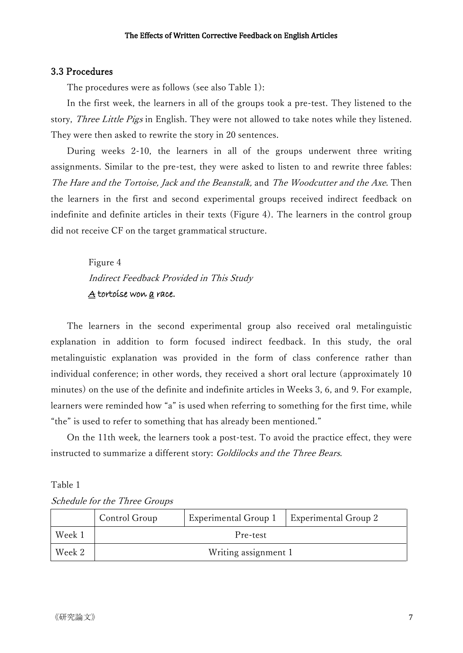## 3.3 Procedures

The procedures were as follows (see also Table 1):

In the first week, the learners in all of the groups took a pre-test. They listened to the story, *Three Little Pigs* in English. They were not allowed to take notes while they listened. They were then asked to rewrite the story in 20 sentences.

During weeks 2-10, the learners in all of the groups underwent three writing assignments. Similar to the pre-test, they were asked to listen to and rewrite three fables: The Hare and the Tortoise, Jack and the Beanstalk, and The Woodcutter and the Axe. Then the learners in the first and second experimental groups received indirect feedback on indefinite and definite articles in their texts (Figure 4). The learners in the control group did not receive CF on the target grammatical structure.

> Figure 4 Indirect Feedback Provided in This Study A tortoise won a race.

The learners in the second experimental group also received oral metalinguistic explanation in addition to form focused indirect feedback. In this study, the oral metalinguistic explanation was provided in the form of class conference rather than individual conference; in other words, they received a short oral lecture (approximately 10 minutes) on the use of the definite and indefinite articles in Weeks 3, 6, and 9. For example, learners were reminded how "a" is used when referring to something for the first time, while "the" is used to refer to something that has already been mentioned."

On the 11th week, the learners took a post-test. To avoid the practice effect, they were instructed to summarize a different story: Goldilocks and the Three Bears.

#### Table 1

|  |  |  |  | Schedule for the Three Groups |
|--|--|--|--|-------------------------------|
|--|--|--|--|-------------------------------|

|        | Control Group | Experimental Group 1 | <b>Experimental Group 2</b> |
|--------|---------------|----------------------|-----------------------------|
| Week 1 |               | Pre-test             |                             |
| Week 2 |               | Writing assignment 1 |                             |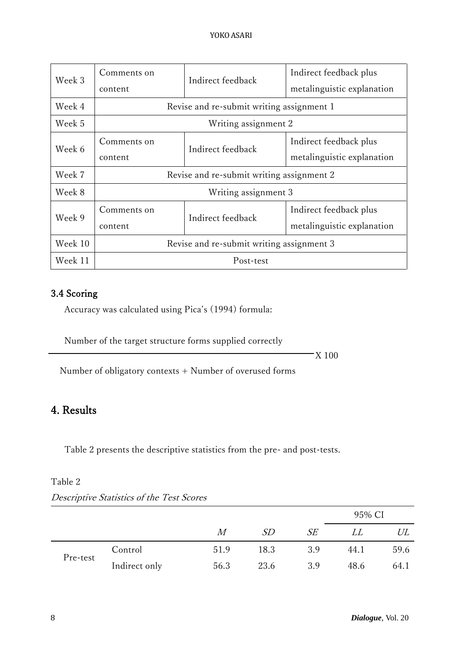| Week 3  | Comments on<br>content                    | Indirect feedback                         | Indirect feedback plus<br>metalinguistic explanation |  |
|---------|-------------------------------------------|-------------------------------------------|------------------------------------------------------|--|
| Week 4  |                                           | Revise and re-submit writing assignment 1 |                                                      |  |
| Week 5  | Writing assignment 2                      |                                           |                                                      |  |
| Week 6  | Comments on<br>content                    | Indirect feedback                         | Indirect feedback plus<br>metalinguistic explanation |  |
| Week 7  | Revise and re-submit writing assignment 2 |                                           |                                                      |  |
| Week 8  | Writing assignment 3                      |                                           |                                                      |  |
| Week 9  | Comments on<br>content                    | Indirect feedback                         | Indirect feedback plus<br>metalinguistic explanation |  |
| Week 10 | Revise and re-submit writing assignment 3 |                                           |                                                      |  |
| Week 11 |                                           | Post-test                                 |                                                      |  |

# 3.4 Scoring

Accuracy was calculated using Pica's (1994) formula:

Number of the target structure forms supplied correctly

 $\overline{\text{X}}$  100

Number of obligatory contexts + Number of overused forms

# 4. Results

Table 2 presents the descriptive statistics from the pre- and post-tests.

## Table 2

|          |               |      |           |     | 95% CI |      |
|----------|---------------|------|-----------|-----|--------|------|
|          |               | М    | <i>SD</i> | SE  | LL     | UL   |
| Pre-test | Control       | 51.9 | 18.3      | 3.9 | 44.1   | 59.6 |
|          | Indirect only | 56.3 | 23.6      | 3.9 | 48.6   | 64.1 |

Descriptive Statistics of the Test Scores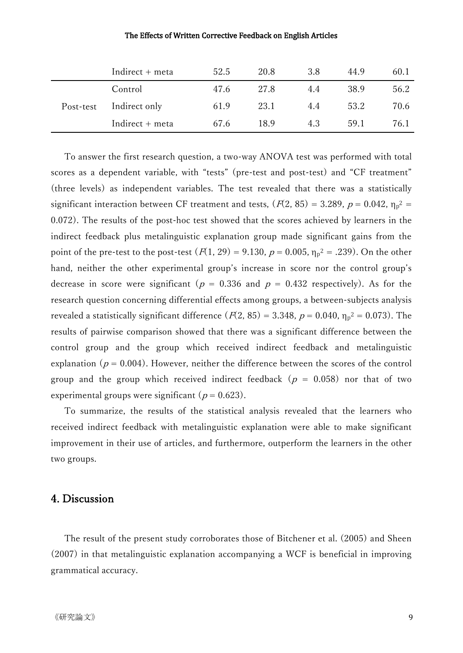#### The Effects of Written Corrective Feedback on English Articles

|           | Indirect + meta   | 52.5 | 20.8 | 3.8 | 44.9 | 60.1 |
|-----------|-------------------|------|------|-----|------|------|
| Post-test | Control           | 47.6 | 27.8 | 4.4 | 38.9 | 56.2 |
|           | Indirect only     | 61.9 | 23.1 | 4.4 | 53.2 | 70.6 |
|           | $Indirect + meta$ | 67.6 | 18.9 | 4.3 | 59.1 | 76.1 |

To answer the first research question, a two-way ANOVA test was performed with total scores as a dependent variable, with "tests" (pre-test and post-test) and "CF treatment" (three levels) as independent variables. The test revealed that there was a statistically significant interaction between CF treatment and tests,  $(F(2, 85) = 3.289, p = 0.042, \eta_p^2 =$ 0.072). The results of the post-hoc test showed that the scores achieved by learners in the indirect feedback plus metalinguistic explanation group made significant gains from the point of the pre-test to the post-test  $(F(1, 29) = 9.130, p = 0.005, \eta_p^2 = .239)$ . On the other hand, neither the other experimental group's increase in score nor the control group's decrease in score were significant ( $p = 0.336$  and  $p = 0.432$  respectively). As for the research question concerning differential effects among groups, a between-subjects analysis revealed a statistically significant difference  $(F(2, 85) = 3.348, p = 0.040, \eta_p^2 = 0.073)$ . The results of pairwise comparison showed that there was a significant difference between the control group and the group which received indirect feedback and metalinguistic explanation ( $p = 0.004$ ). However, neither the difference between the scores of the control group and the group which received indirect feedback ( $p = 0.058$ ) nor that of two experimental groups were significant ( $p = 0.623$ ).

To summarize, the results of the statistical analysis revealed that the learners who received indirect feedback with metalinguistic explanation were able to make significant improvement in their use of articles, and furthermore, outperform the learners in the other two groups.

## 4. Discussion

The result of the present study corroborates those of Bitchener et al. (2005) and Sheen (2007) in that metalinguistic explanation accompanying a WCF is beneficial in improving grammatical accuracy.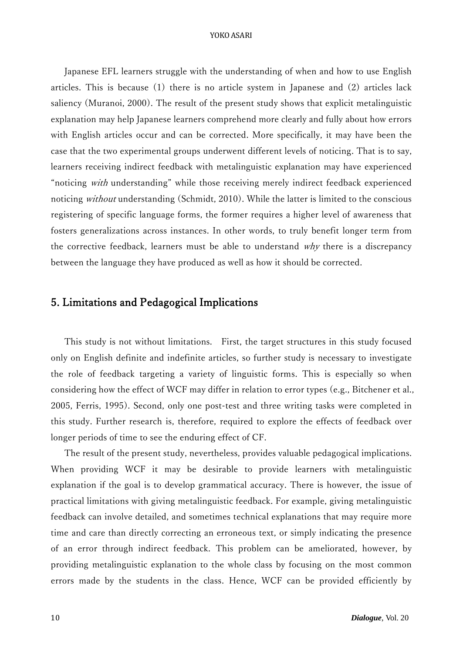#### YOKO ASARI

Japanese EFL learners struggle with the understanding of when and how to use English articles. This is because (1) there is no article system in Japanese and (2) articles lack saliency (Muranoi, 2000). The result of the present study shows that explicit metalinguistic explanation may help Japanese learners comprehend more clearly and fully about how errors with English articles occur and can be corrected. More specifically, it may have been the case that the two experimental groups underwent different levels of noticing. That is to say, learners receiving indirect feedback with metalinguistic explanation may have experienced "noticing with understanding" while those receiving merely indirect feedback experienced noticing without understanding (Schmidt, 2010). While the latter is limited to the conscious registering of specific language forms, the former requires a higher level of awareness that fosters generalizations across instances. In other words, to truly benefit longer term from the corrective feedback, learners must be able to understand  $why$  there is a discrepancy between the language they have produced as well as how it should be corrected.

# 5. Limitations and Pedagogical Implications

This study is not without limitations. First, the target structures in this study focused only on English definite and indefinite articles, so further study is necessary to investigate the role of feedback targeting a variety of linguistic forms. This is especially so when considering how the effect of WCF may differ in relation to error types (e.g., Bitchener et al., 2005, Ferris, 1995). Second, only one post-test and three writing tasks were completed in this study. Further research is, therefore, required to explore the effects of feedback over longer periods of time to see the enduring effect of CF.

The result of the present study, nevertheless, provides valuable pedagogical implications. When providing WCF it may be desirable to provide learners with metalinguistic explanation if the goal is to develop grammatical accuracy. There is however, the issue of practical limitations with giving metalinguistic feedback. For example, giving metalinguistic feedback can involve detailed, and sometimes technical explanations that may require more time and care than directly correcting an erroneous text, or simply indicating the presence of an error through indirect feedback. This problem can be ameliorated, however, by providing metalinguistic explanation to the whole class by focusing on the most common errors made by the students in the class. Hence, WCF can be provided efficiently by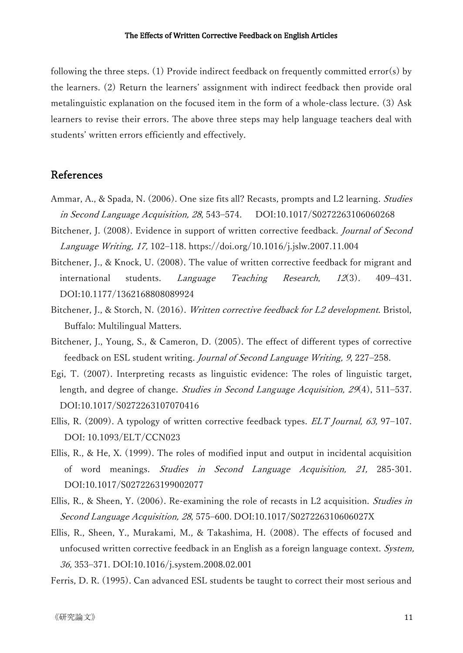following the three steps. (1) Provide indirect feedback on frequently committed error(s) by the learners. (2) Return the learners' assignment with indirect feedback then provide oral metalinguistic explanation on the focused item in the form of a whole-class lecture. (3) Ask learners to revise their errors. The above three steps may help language teachers deal with students' written errors efficiently and effectively.

# References

- Ammar, A., & Spada, N. (2006). One size fits all? Recasts, prompts and L2 learning. Studies in Second Language Acquisition, <sup>28</sup>, 543–574. DOI[:10.1017/S0272263106060268](http://dx.doi.org/10.1017/S0272263106060268)
- Bitchener, J. (2008). Evidence in support of written corrective feedback. Journal of Second Language Writing, 17, 102–118. <https://doi.org/10.1016/j.jslw.2007.11.004>
- Bitchener, J., & Knock, U. (2008). The value of written corrective feedback for migrant and international students. Language Teaching Research, 12(3). 409-431. DOI:10.1177/1362168808089924
- Bitchener, J., & Storch, N. (2016). Written corrective feedback for L2 development. Bristol, Buffalo: Multilingual Matters.
- Bitchener, J., Young, S., & Cameron, D. (2005). The effect of different types of corrective feedback on ESL student writing. Journal of Second Language Writing, 9, 227–258.
- Egi, T. (2007). Interpreting recasts as linguistic evidence: The roles of linguistic target, length, and degree of change. *Studies in Second Language Acquisition*, 29(4), 511–537. DOI[:10.1017/S0272263107070416](http://dx.doi.org/10.1017/S0272263107070416)
- Ellis, R. (2009). A typology of written corrective feedback types. ELT Journal, 63, 97–107. DOI: 10.1093/ELT/CCN023
- Ellis, R., & He, X. (1999). The roles of modified input and output in incidental acquisition of word meanings. Studies in Second Language Acquisition, 21, 285-301. DOI:10.1017/S0272263199002077
- Ellis, R., & Sheen, Y. (2006). Re-examining the role of recasts in L2 acquisition. *Studies in* Second Language Acquisition, <sup>28</sup>, 575–600. DOI[:10.1017/S027226310606027X](http://dx.doi.org/10.1017/S027226310606027X)
- Ellis, R., Sheen, Y., Murakami, M., & Takashima, H. (2008). The effects of focused and unfocused written corrective feedback in an English as a foreign language context. System, 36, 353–371. DOI[:10.1016/j.system.2008.02.001](http://dx.doi.org/10.1016/j.system.2008.02.001)
- Ferris, D. R. (1995). Can advanced ESL students be taught to correct their most serious and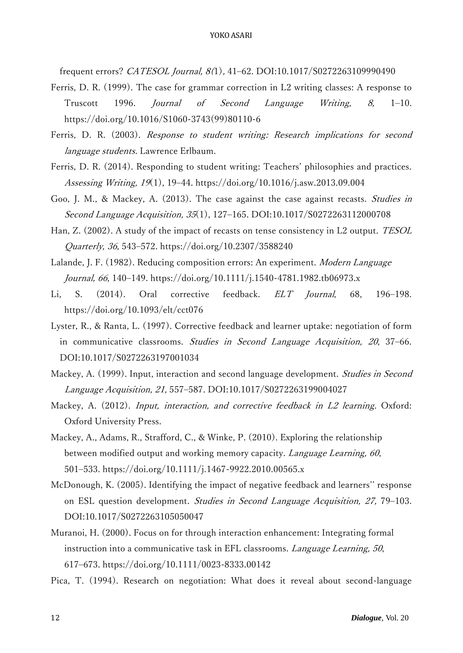frequent errors? CATESOL Journal, 8(1), 41–62. DOI:10.1017/S0272263109990490

- Ferris, D. R. (1999). The case for grammar correction in L2 writing classes: A response to Truscott 1996. Journal of Second Language Writing, 8, 1–10. [https://doi.org/10.1016/S1060-3743\(99\)80110-6](https://doi.org/10.1016/S1060-3743(99)80110-6)
- Ferris, D. R. (2003). Response to student writing: Research implications for second language students. Lawrence Erlbaum.
- Ferris, D. R. (2014). Responding to student writing: Teachers' philosophies and practices. Assessing Writing, 19(1), 19–44. <https://doi.org/10.1016/j.asw.2013.09.004>
- Goo, J. M., & Mackey, A. (2013). The case against the case against recasts. *Studies in* Second Language Acquisition, 35(1), 127–165. DOI:10.1017/S0272263112000708
- Han, Z. (2002). A study of the impact of recasts on tense consistency in L2 output. TESOL Quarterly, 36, 543–572. <https://doi.org/10.2307/3588240>
- Lalande, J. F. (1982). Reducing composition errors: An experiment. Modern Language Journal, 66, 140–149. <https://doi.org/10.1111/j.1540-4781.1982.tb06973.x>
- Li, S. (2014). Oral corrective feedback. ELT Journal, 68, 196-198. <https://doi.org/10.1093/elt/cct076>
- Lyster, R., & Ranta, L. (1997). Corrective feedback and learner uptake: negotiation of form in communicative classrooms. Studies in Second Language Acquisition, <sup>20</sup>, 37–66. DOI:10.1017/S0272263197001034
- Mackey, A. (1999). Input, interaction and second language development. Studies in Second Language Acquisition, 21, 557–587. DOI:10.1017/S0272263199004027
- Mackey, A. (2012). Input, interaction, and corrective feedback in L2 learning. Oxford: Oxford University Press.
- Mackey, A., Adams, R., Strafford, C., & Winke, P. (2010). Exploring the relationship between modified output and working memory capacity. Language Learning, 60, 501–533. <https://doi.org/10.1111/j.1467-9922.2010.00565.x>
- McDonough, K. (2005). Identifying the impact of negative feedback and learners'' response on ESL question development. Studies in Second Language Acquisition, 27, 79–103. DOI:10.1017/S0272263105050047
- Muranoi, H. (2000). Focus on for through interaction enhancement: Integrating formal instruction into a communicative task in EFL classrooms. Language Learning, 50, 617–673. <https://doi.org/10.1111/0023-8333.00142>
- Pica, T. (1994). Research on negotiation: What does it reveal about second-language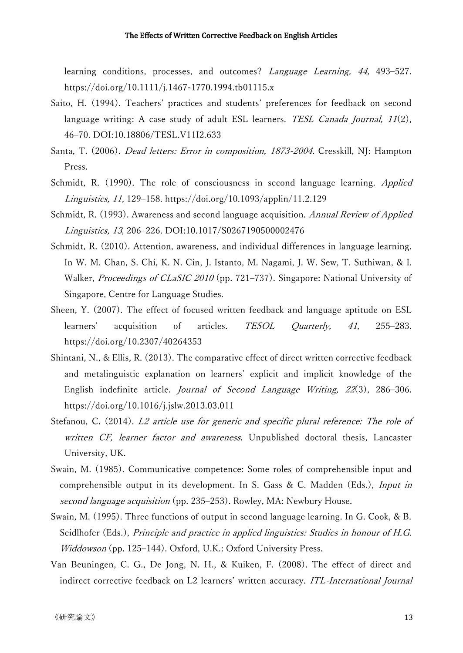learning conditions, processes, and outcomes? Language Learning, 44, 493–527. <https://doi.org/10.1111/j.1467-1770.1994.tb01115.x>

- Saito, H. (1994). Teachers' practices and students' preferences for feedback on second language writing: A case study of adult ESL learners. TESL Canada Journal,  $11(2)$ , 46–70. DOI:10.18806/TESL.V11I2.633
- Santa, T. (2006). Dead letters: Error in composition, 1873-2004. Cresskill, NJ: Hampton Press.
- Schmidt, R. (1990). The role of consciousness in second language learning. Applied Linguistics, 11, 129–158. <https://doi.org/10.1093/applin/11.2.129>
- Schmidt, R. (1993). Awareness and second language acquisition. *Annual Review of Applied* Linguistics, 13, 206–226. DOI:10.1017/S0267190500002476
- Schmidt, R. (2010). [Attention, awareness, and individual differences in language](http://nflrc.hawaii.edu/PDFs/SCHMIDT%20Attention,%20awareness,%20and%20individual%20differences.pdf) learning. In W. M. Chan, S. Chi, K. N. Cin, J. Istanto, M. Nagami, J. W. Sew, T. Suthiwan, & I. Walker, Proceedings of CLaSIC 2010 (pp. 721-737). Singapore: National University of Singapore, Centre for Language Studies.
- Sheen, Y. (2007). The effect of focused written feedback and language aptitude on ESL learners' acquisition of articles. TESOL Quarterly, 41, 255–283. <https://doi.org/10.2307/40264353>
- Shintani, N., & Ellis, R. (2013). The comparative effect of direct written corrective feedback and metalinguistic explanation on learners' explicit and implicit knowledge of the English indefinite article. Journal of Second Language Writing, 22(3), 286–306. https://doi.org/10.1016/j.jslw.2013.03.011
- Stefanou, C. (2014). L2 article use for generic and specific plural reference: The role of written CF, learner factor and awareness. Unpublished doctoral thesis, Lancaster University, UK.
- Swain, M. (1985). Communicative competence: Some roles of comprehensible input and comprehensible output in its development. In S. Gass & C. Madden (Eds.), Input in second language acquisition (pp. 235–253). Rowley, MA: Newbury House.
- Swain, M. (1995). Three functions of output in second language learning. In G. Cook, & B. Seidlhofer (Eds.), Principle and practice in applied linguistics: Studies in honour of H.G. Widdowson (pp. 125–144). Oxford, U.K.: Oxford University Press.
- Van Beuningen, C. G., De Jong, N. H., & Kuiken, F. (2008). The effect of direct and indirect corrective feedback on L2 learners' written accuracy. ITL-International Journal